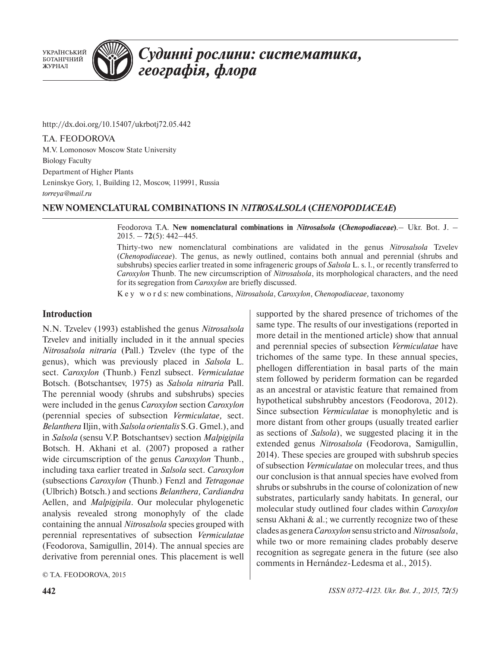**УКРАЇНСЬКИЙ** БОТАНІЧНИЙ ЖУРНАЛ



# Судинні рослини: систематика, географія, флора

http://dx.doi.org/10.15407/ukrbotj72.05.442

T.A. FEODOROVA M.V. Lomonosov Moscow State University Biology Faculty Department of Higher Plants Leninskye Gory, 1, Building 12, Moscow, 119991, Russia *torreya@mail.ru*

# **NEW NOMENCLATURAL COMBINATIONS IN** *NITROSALSOLA* **(***CHENOPODIACEAE***)**

Feodorova T.A. **New nomenclatural combinations in** *Nitrosalsola* **(***Chenopodiaceae***)**.– Ukr. Bot. J. – 2015. – **72**(5): 442–445.

Thirty-two new nomenclatural combinations are validated in the genus *Nitrosalsola* Tzvelev (*Chenopodiaceae*). The genus, as newly outlined, contains both annual and perennial (shrubs and subshrubs) species earlier treated in some infrageneric groups of *Salsola* L. s. l., or recently transferred to *Caroxylon* Thunb. The new circumscription of *Nitrosalsola*, its morphological characters, and the need for its segregation from *Caroxylon* are briefly discussed.

K e y w o r d s: new combinations, *Nitrosalsola*, *Caroxylon*, *Chenopodiaceae,* taxonomy

## **Introduction**

N.N. Tzvelev (1993) established the genus *Nitrosalsola*  Tzvelev and initially included in it the annual species *Nitrosalsola nitraria* (Pall.) Tzvelev (the type of the genus), which was previously placed in *Salsola* L. sect. *Caroxylon* (Thunb.) Fenzl subsect. *Vermiculatae*  Botsch. (Botschantsev, 1975) as *Salsola nitraria* Pall. The perennial woody (shrubs and subshrubs) species were included in the genus *Caroxylon* section *Caroxylon*  (perennial species of subsection *Vermiculatae,* sect. *Belanthera* Iljin,with *Salsola orientalis* S.G. Gmel.), and in *Salsola* (sensu V.P. Botschantsev) section *Malpigipila*  Botsch. H. Akhani et al. (2007) proposed a rather wide circumscription of the genus *Caroxylon* Thunb., including taxa earlier treated in *Salsola* sect. *Caroxylon*  (subsections *Caroxylon* (Thunb.) Fenzl and *Tetragonae*  (Ulbrich) Botsch.) and sections *Belanthera, Cardiandra* Aellen, and *Malpigipila*. Our molecular phylogenetic analysis revealed strong monophyly of the clade containing the annual *Nitrosalsola* species grouped with perennial representatives of subsection *Vermiculatae* (Feodorova, Samigullin, 2014). The annual species are derivative from perennial ones. This placement is well

© T.A. FEODOROVA, 2015

supported by the shared presence of trichomes of the same type. The results of our investigations (reported in more detail in the mentioned article) show that annual and perennial species of subsection *Vermiculatae* have trichomes of the same type. In these annual species, phellogen differentiation in basal parts of the main stem followed by periderm formation can be regarded as an ancestral or atavistic feature that remained from hypothetical subshrubby ancestors (Feodorova, 2012). Since subsection *Vermiculatae* is monophyletic and is more distant from other groups (usually treated earlier as sections of *Salsola*), we suggested placing it in the extended genus *Nitrosalsola* (Feodorova, Samigullin, 2014). These species are grouped with subshrub species of subsection *Vermiculatae* on molecular trees, and thus our conclusion is that annual species have evolved from shrubs or subshrubs in the course of colonization of new substrates, particularly sandy habitats. In general, our molecular study outlined four clades within *Caroxylon* sensu Akhani & al.; we currently recognize two of these clades as genera*Caroxylon* sensu stricto and*Nitrosalsola*, while two or more remaining clades probably deserve recognition as segregate genera in the future (see also comments in Hernández-Ledesma et al., 2015).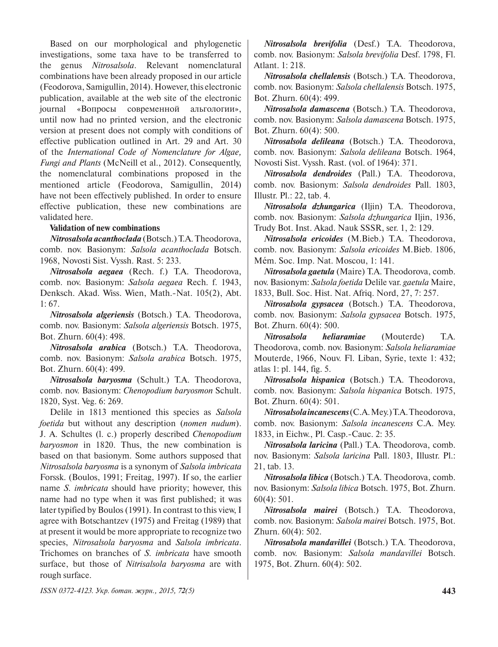Based on our morphological and phylogenetic investigations, some taxa have to be transferred to the genus *Nitrosalsola*. Relevant nomenclatural combinations have been already proposed in our article (Feodorova, Samigullin, 2014). However, this electronic publication, available at the web site of the electronic journal «Вопросы современной альгологии», until now had no printed version, and the electronic version at present does not comply with conditions of effective publication outlined in Art. 29 and Art. 30 of the *International Code of Nomenclature for Algae, Fungi and Plants* (McNeill et al., 2012). Consequently, the nomenclatural combinations proposed in the mentioned article (Feodorova, Samigullin, 2014) have not been effectively published. In order to ensure effective publication, these new combinations are validated here.

#### **Validation of new combinations**

*Nitrosalsola acanthoclada* (Botsch.)T.A. Theodorova, comb. nov. Basionym: *Salsola acanthoclada* Botsch. 1968, Novosti Sist. Vyssh. Rast. 5: 233.

*Nitrosalsola aegaea* (Rech. f.) T.A. Theodorova, comb. nov. Basionym: *Salsola aegaea* Rech. f. 1943, Denksch. Akad. Wiss. Wien, Math.-Nat. 105(2), Abt.  $1:67.$ 

*Nitrosalsola algeriensis* (Botsch.) T.A. Theodorova, comb. nov. Basionym: *Salsola algeriensis* Botsch. 1975, Bot. Zhurn. 60(4): 498.

*Nitrosalsola arabica* (Botsch.) T.A. Theodorova, comb. nov. Basionym: *Salsola arabica* Botsch. 1975, Bot. Zhurn. 60(4): 499.

*Nitrosalsola baryosma* (Schult.) T.A. Theodorova, comb. nov. Basionym: *Chenopodium baryosmon* Schult. 1820, Syst. Veg. 6: 269.

Delile in 1813 mentioned this species as *Salsola foetida* but without any description (*nomen nudum*). J. A. Schultes (l. c.) properly described *Chenopodium baryosmon* in 1820. Thus, the new combination is based on that basionym. Some authors supposed that *Nitrosalsola baryosma* is a synonym of *Salsola imbricata* Forssk. (Boulos, 1991; Freitag, 1997). If so, the earlier name *S. imbricata* should have priority; however, this name had no type when it was first published; it was later typified by Boulos (1991). In contrast to this view, I agree with Botschantzev (1975) and Freitag (1989) that at present it would be more appropriate to recognize two species, *Nitrosalsola baryosma* and *Salsola imbricata*. Trichomes on branches of *S. imbricata* have smooth surface, but those of *Nitrisalsola baryosma* are with rough surface.

*Nitrosalsola brevifolia* (Desf.) T.A. Theodorova, comb. nov. Basionym: *Salsola brevifolia* Desf. 1798, Fl. Atlant. 1: 218.

*Nitrosalsola chellalensis* (Botsch.) T.A. Theodorova, comb. nov. Basionym: *Salsola chellalensis* Botsch. 1975, Bot. Zhurn. 60(4): 499.

*Nitrosalsola damascena* (Botsch.) T.A. Theodorova, comb. nov. Basionym: *Salsola damascena* Botsch. 1975, Bot. Zhurn. 60(4): 500.

*Nitrosalsola delileana* (Botsch.) T.A. Theodorova, comb. nov. Basionym: *Salsola delileana* Botsch. 1964, Novosti Sist. Vyssh. Rast. (vol. of 1964): 371.

*Nitrosalsola dendroides* (Pall.) T.A. Theodorova, comb. nov. Basionym: *Salsola dendroides* Pall. 1803, Illustr. Pl.: 22, tab. 4.

*Nitrosalsola dzhungarica* (Iljin) T.A. Theodorova, comb. nov. Basionym: *Salsola dzhungarica* Iljin, 1936, Trudy Bot. Inst. Akad. Nauk SSSR, ser. 1, 2: 129.

*Nitrosalsola ericoides* (M.Bieb.) T.A. Theodorova, comb. nov. Basionym: *Salsola ericoides* M.Bieb. 1806, Mém. Soc. Imp. Nat. Moscou, 1: 141.

*Nitrosalsola gaetula* (Maire) T.A. Theodorova, comb. nov. Basionym: *Salsola foetida* Delile var. *gaetula* Maire, 1833, Bull. Soc. Hist. Nat. Afriq. Nord, 27, 7: 257.

*Nitrosalsola gypsacea* (Botsch.) T.A. Theodorova, comb. nov. Basionym: *Salsola gypsacea* Botsch. 1975, Bot. Zhurn. 60(4): 500.

*Nitrosalsola heliaramiae* (Mouterde) T.A. Theodorova, comb. nov. Basionym: *Salsola heliaramiae* Mouterde, 1966, Nouv. Fl. Liban, Syrie, texte 1: 432; atlas 1: pl. 144, fig. 5.

*Nitrosalsola hispanica* (Botsch.) T.A. Theodorova, comb. nov. Basionym: *Salsola hispanica* Botsch. 1975, Bot. Zhurn. 60(4): 501.

*Nitrosalsola incanescens*(C.A. Mey.)T.A. Theodorova, comb. nov. Basionym: *Salsola incanescens* C.A. Mey. 1833, in Eichw., Pl. Casp.-Cauc. 2: 35.

*Nitrosalsola laricina* (Pall.) T.A. Theodorova, comb. nov. Basionym: *Salsola laricina* Pall. 1803, Illustr. Pl.: 21, tab. 13.

*Nitrosalsola libica* (Botsch.) T.A. Theodorova, comb. nov. Basionym: *Salsola libica* Botsch. 1975, Bot. Zhurn. 60(4): 501.

*Nitrosalsola mairei* (Botsch.) T.A. Theodorova, comb. nov. Basionym: *Salsola mairei* Botsch. 1975, Bot. Zhurn. 60(4): 502.

*Nitrosalsola mandavillei* (Botsch.) T.A. Theodorova, comb. nov. Basionym: *Salsola mandavillei* Botsch. 1975, Bot. Zhurn. 60(4): 502.

*ISSN 0372-4123. Укр. ботан. журн., 2015, 72(5)* **443**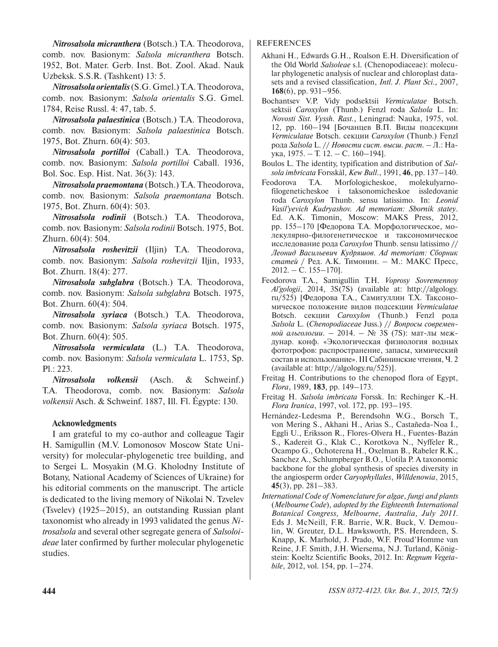*Nitrosalsola micranthera* (Botsch.) T.A. Theodorova, comb. nov. Basionym: *Salsola micranthera* Botsch. 1952, Bot. Mater. Gerb. Inst. Bot. Zool. Akad. Nauk Uzbeksk. S.S.R. (Tashkent) 13: 5.

*Nitrosalsola orientalis*(S.G. Gmel.)T.A. Theodorova, comb. nov. Basionym: *Salsola orientalis* S.G. Gmel. 1784, Reise Russl. 4: 47, tab. 5.

*Nitrosalsola palaestinica* (Botsch.) T.A. Theodorova, comb. nov. Basionym: *Salsola palaestinica* Botsch. 1975, Bot. Zhurn. 60(4): 503.

*Nitrosalsola portilloi* (Caball.) T.A. Theodorova, comb. nov. Basionym: *Salsola portilloi* Caball. 1936, Bol. Soc. Esp. Hist. Nat. 36(3): 143.

*Nitrosalsola praemontana* (Botsch.) T.A. Theodorova, comb. nov. Basionym: *Salsola praemontana* Botsch. 1975, Bot. Zhurn. 60(4): 503.

*Nitrosalsola rodinii* (Botsch.) T.A. Theodorova, comb. nov. Basionym: *Salsola rodinii* Botsch. 1975, Bot. Zhurn. 60(4): 504.

*Nitrosalsola roshevitzii* (Iljin) T.A. Theodorova, comb. nov. Basionym: *Salsola roshevitzii* Iljin, 1933, Bot. Zhurn. 18(4): 277.

*Nitrosalsola subglabra* (Botsch.) T.A. Theodorova, comb. nov. Basionym: *Salsola subglabra* Botsch. 1975, Bot. Zhurn. 60(4): 504.

*Nitrosalsola syriaca* (Botsch.) T.A. Theodorova, comb. nov. Basionym: *Salsola syriaca* Botsch. 1975, Bot. Zhurn. 60(4): 505.

*Nitrosalsola vermiculata* (L.) T.A. Theodorova, comb. nov. Basionym: *Salsola vermiculata* L. 1753, Sp. Pl.: 223.

*Nitrosalsola volkensii* (Asch. & Schweinf.) T.A. Theodorova, comb. nov. Basionym: *Salsola volkensii* Asch. & Schweinf. 1887, Ill. Fl. Égypte: 130.

# **Acknowledgments**

I am grateful to my co-author and colleague Tagir H. Samigullin (M.V. Lomonosov Moscow State University) for molecular-phylogenetic tree building, and to Sergei L. Mosyakin (M.G. Kholodny Institute of Botany, National Academy of Sciences of Ukraine) for his editorial comments on the manuscript. The article is dedicated to the living memory of Nikolai N. Tzvelev (Tsvelev) (1925–2015), an outstanding Russian plant taxonomist who already in 1993 validated the genus *Nitrosalsola* and several other segregate genera of *Salsoloideae* later confirmed by further molecular phylogenetic studies.

## REFERENCES

- Akhani H., Edwards G.H., Roalson E.H. Diversification of the Old World *Salsoleae* s.l. (Chenopodiaceae): molecular phylogenetic analysis of nuclear and chloroplast datasets and a revised classification, *Intl. J. Plant Sci.,* 2007, **168**(6), pp. 931–956.
- Bochantsev V.P. Vidy podsektsii *Vermiculatae* Botsch. sektsii *Caroxylon* (Thunb.) Fenzl roda *Salsola* L. In: *Novosti Sist. Vyssh. Rast.*, Leningrad: Nauka, 1975, vol. 12, pp. 160–194 [Бочанцев В.П. Виды подсекции *Vermiculatae* Botsch. cекции *Caroxylon* (Thunb.) Fenzl рода *Salsola* L. // *Новости сист. высш. раст.* – Л.: Наука, 1975. – Т. 12. – С. 160–194].
- Boulos L. The identity, typification and distribution of *Salsola imbricata* Forsskål, *Kew Bull*., 1991, **46**, pp. 137–140.
- Feodorova T.A. Morfologicheskoe, molekulyarnofilogeneticheskoe i taksonomicheskoe issledovanie roda *Caroxylon* Thunb. sensu latissimo. In: *Leonid Vasil'yevich Kudryashov. Ad memoriam: Sbornik statey*. Ed. A.K. Timonin, Мoscow: MAKS Press, 2012, pp. 155–170 [Федорова Т.А. Морфологическое, молекулярно-филогенетическое и таксономическое исследование рода *Caroxylon* Thunb. sensu latissimo // *Леонид Васильевич Кудряшов. Ad memoriam: Сборник статей* / Ред. А.К. Тимонин. – М.: МАКС Пресс, 2012. – С. 155–170].
- Feodorova T.A., Samigullin T.H. *Voprosy Sovremennoy Al'gologii*, 2014, 3S(7S) (available at: http://algology. ru/525) [Федорова Т.А., Самигуллин Т.Х. Таксономическое положение видов подсекции *Vermiculatae* Botsch. секции *Caroxylon* (Thunb.) Fenzl рода *Salsola* L. (*Chenopodiaceae* Juss.) // *Вопросы современной альгологии*. – 2014. – № 3S (7S): мат-лы междунар. конф. «Экологическая физиология водных фототрофов: распространение, запасы, химический состав и использование».III Сабининские чтения, Ч. 2 (available at: http://algology.ru/525)].
- Freitag H. Contributions to the chenopod flora of Egypt, *Flora*, 1989, **183**, pp. 149–173.
- Freitag H. *Salsola imbricata* Forssk. In: Rechinger K.-H. *Flora Iranica*, 1997, vol. 172, pp. 193–195.
- Hernández-Ledesma P., Berendsohn W.G., Borsch T., von Mering S., Akhani H., Arias S., Castañeda-Noa I., Eggli U., Eriksson R., Flores-Olvera H., Fuentes-Bazán S., Kadereit G., Klak C., Korotkova N., Nyffeler R., Ocampo G., Ochoterena H., Oxelman B., Rabeler R.K., Sanchez A., Schlumpberger B.O., Uotila P. A taxonomic backbone for the global synthesis of species diversity in the angiosperm order *Caryophyllales*, *Willdenowia*, 2015, **45**(3), pp. 281–383.
- *International Code of Nomenclature for algae, fungi and plants*  (*Melbourne Code*)*, adopted by the Eighteenth International Botanical Congress, Melbourne, Australia, July 2011*. Eds J. McNeill, F.R. Barrie, W.R. Buck, V. Demoulin, W. Greuter, D.L. Hawksworth, P.S. Herendeen, S. Knapp, K. Marhold, J. Prado, W.F. Proud'Homme van Reine, J.F. Smith, J.H. Wiersema, N.J. Turland, Königstein: Koeltz Scientific Books, 2012. In: *Regnum Vegetabile*, 2012, vol. 154, pp. 1–274.